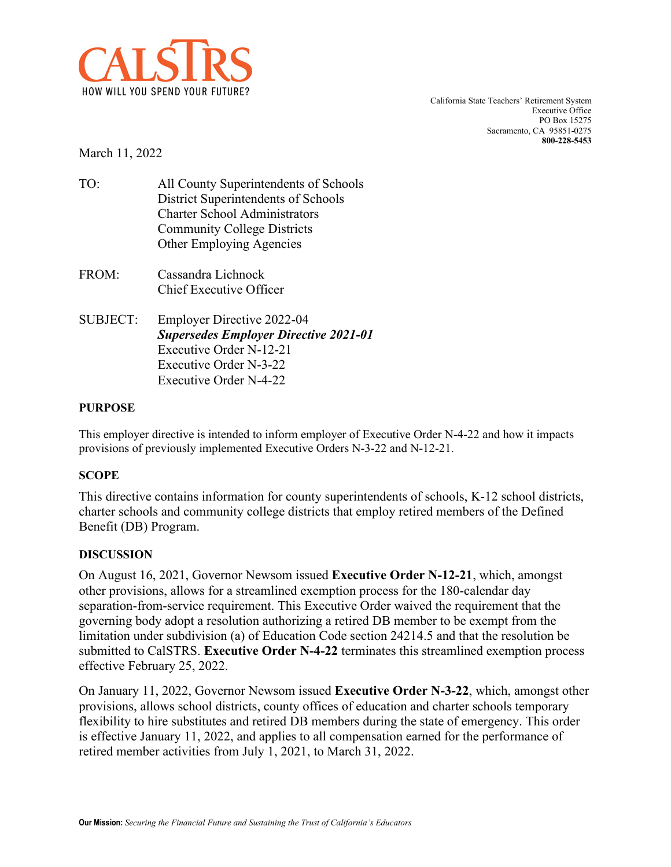

California State Teachers' Retirement System Executive Office PO Box 15275 Sacramento, CA 95851-0275 **800-228-5453**

March 11, 2022

- TO: All County Superintendents of Schools District Superintendents of Schools Charter School Administrators Community College Districts Other Employing Agencies
- FROM: Cassandra Lichnock Chief Executive Officer
- SUBJECT: Employer Directive 2022-04 *Supersedes Employer Directive 2021-01* Executive Order N-12-21 Executive Order N-3-22 Executive Order N-4-22

### **PURPOSE**

This employer directive is intended to inform employer of Executive Order N-4-22 and how it impacts provisions of previously implemented Executive Orders N-3-22 and N-12-21.

### **SCOPE**

This directive contains information for county superintendents of schools, K-12 school districts, charter schools and community college districts that employ retired members of the Defined Benefit (DB) Program.

### **DISCUSSION**

On August 16, 2021, Governor Newsom issued **Executive Order N-12-21**, which, amongst other provisions, allows for a streamlined exemption process for the 180-calendar day separation-from-service requirement. This Executive Order waived the requirement that the governing body adopt a resolution authorizing a retired DB member to be exempt from the limitation under subdivision (a) of Education Code section 24214.5 and that the resolution be submitted to CalSTRS. **Executive Order N-4-22** terminates this streamlined exemption process effective February 25, 2022.

On January 11, 2022, Governor Newsom issued **[Executive Order N-3-22](https://www.gov.ca.gov/wp-content/uploads/2022/01/1.11.21-N-3-22-School-Staffing-EO-signed.pdf)**, which, amongst other provisions, allows school districts, county offices of education and charter schools temporary flexibility to hire substitutes and retired DB members during the state of emergency. This order is effective January 11, 2022, and applies to all compensation earned for the performance of retired member activities from July 1, 2021, to March 31, 2022.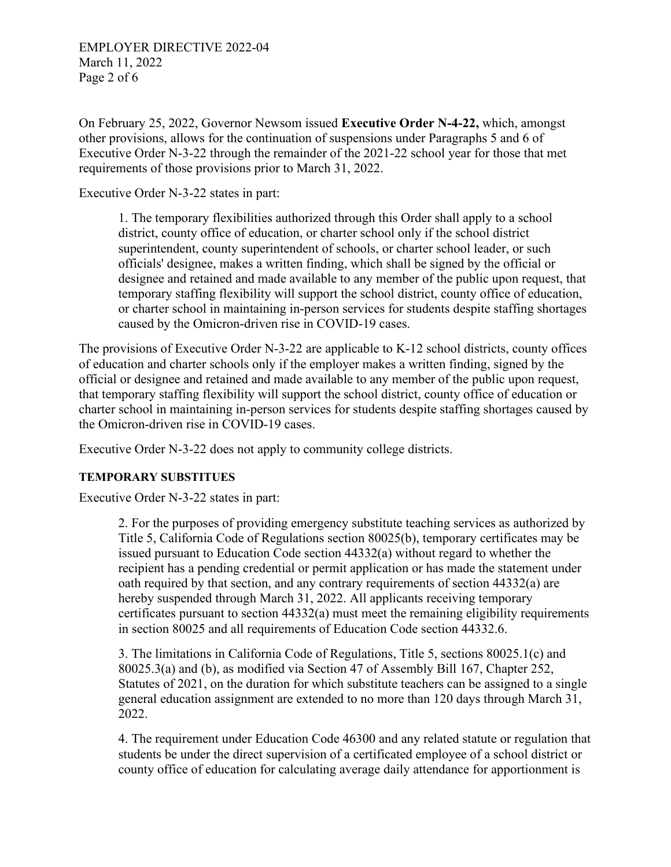On February 25, 2022, Governor Newsom issued **Executive Order N-4-22,** which, amongst other provisions, allows for the continuation of suspensions under Paragraphs 5 and 6 of Executive Order N-3-22 through the remainder of the 2021-22 school year for those that met requirements of those provisions prior to March 31, 2022.

[Executive Order N-3-22](https://www.gov.ca.gov/wp-content/uploads/2022/01/1.11.21-N-3-22-School-Staffing-EO-signed.pdf) states in part:

1. The temporary flexibilities authorized through this Order shall apply to a school district, county office of education, or charter school only if the school district superintendent, county superintendent of schools, or charter school leader, or such officials' designee, makes a written finding, which shall be signed by the official or designee and retained and made available to any member of the public upon request, that temporary staffing flexibility will support the school district, county office of education, or charter school in maintaining in-person services for students despite staffing shortages caused by the Omicron-driven rise in COVID-19 cases.

The provisions of Executive Order N-3-22 are applicable to K-12 school districts, county offices of education and charter schools only if the employer makes a written finding, signed by the official or designee and retained and made available to any member of the public upon request, that temporary staffing flexibility will support the school district, county office of education or charter school in maintaining in-person services for students despite staffing shortages caused by the Omicron-driven rise in COVID-19 cases.

Executive Order N-3-22 does not apply to community college districts.

### **TEMPORARY SUBSTITUES**

[Executive Order N-3-22](https://www.gov.ca.gov/wp-content/uploads/2022/01/1.11.21-N-3-22-School-Staffing-EO-signed.pdf) states in part:

2. For the purposes of providing emergency substitute teaching services as authorized by Title 5, California Code of Regulations section 80025(b), temporary certificates may be issued pursuant to Education Code section 44332(a) without regard to whether the recipient has a pending credential or permit application or has made the statement under oath required by that section, and any contrary requirements of section 44332(a) are hereby suspended through March 31, 2022. All applicants receiving temporary certificates pursuant to section 44332(a) must meet the remaining eligibility requirements in section 80025 and all requirements of Education Code section 44332.6.

3. The limitations in California Code of Regulations, Title 5, sections 80025.1(c) and 80025.3(a) and (b), as modified via Section 47 of Assembly Bill 167, Chapter 252, Statutes of 2021, on the duration for which substitute teachers can be assigned to a single general education assignment are extended to no more than 120 days through March 31, 2022.

4. The requirement under Education Code 46300 and any related statute or regulation that students be under the direct supervision of a certificated employee of a school district or county office of education for calculating average daily attendance for apportionment is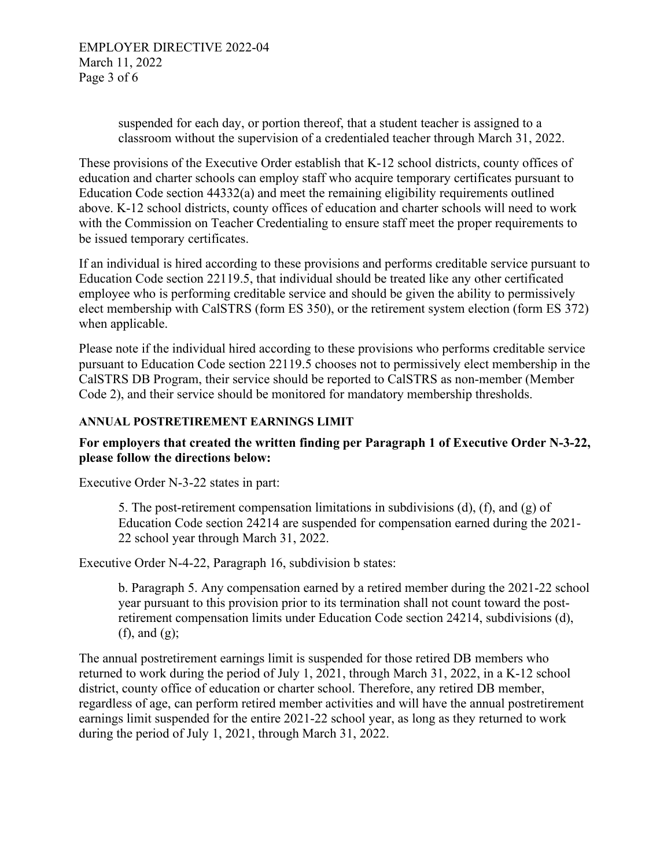suspended for each day, or portion thereof, that a student teacher is assigned to a classroom without the supervision of a credentialed teacher through March 31, 2022.

These provisions of the Executive Order establish that K-12 school districts, county offices of education and charter schools can employ staff who acquire temporary certificates pursuant to Education Code section 44332(a) and meet the remaining eligibility requirements outlined above. K-12 school districts, county offices of education and charter schools will need to work with the Commission on Teacher Credentialing to ensure staff meet the proper requirements to be issued temporary certificates.

If an individual is hired according to these provisions and performs creditable service pursuant to Education Code section 22119.5, that individual should be treated like any other certificated employee who is performing creditable service and should be given the ability to permissively elect membership with CalSTRS (form ES 350), or the retirement system election (form ES 372) when applicable.

Please note if the individual hired according to these provisions who performs creditable service pursuant to Education Code section 22119.5 chooses not to permissively elect membership in the CalSTRS DB Program, their service should be reported to CalSTRS as non-member (Member Code 2), and their service should be monitored for mandatory membership thresholds.

## **ANNUAL POSTRETIREMENT EARNINGS LIMIT**

# **For employers that created the written finding per Paragraph 1 of Executive Order N-3-22, please follow the directions below:**

[Executive Order N-3-22](https://www.gov.ca.gov/wp-content/uploads/2022/01/1.11.21-N-3-22-School-Staffing-EO-signed.pdf) states in part:

5. The post-retirement compensation limitations in subdivisions (d), (f), and (g) of Education Code section 24214 are suspended for compensation earned during the 2021- 22 school year through March 31, 2022.

Executive Order N-4-22, Paragraph 16, subdivision b states:

b. Paragraph 5. Any compensation earned by a retired member during the 2021-22 school year pursuant to this provision prior to its termination shall not count toward the postretirement compensation limits under Education Code section 24214, subdivisions (d), (f), and  $(g)$ ;

The annual postretirement earnings limit is suspended for those retired DB members who returned to work during the period of July 1, 2021, through March 31, 2022, in a K-12 school district, county office of education or charter school. Therefore, any retired DB member, regardless of age, can perform retired member activities and will have the annual postretirement earnings limit suspended for the entire 2021-22 school year, as long as they returned to work during the period of July 1, 2021, through March 31, 2022.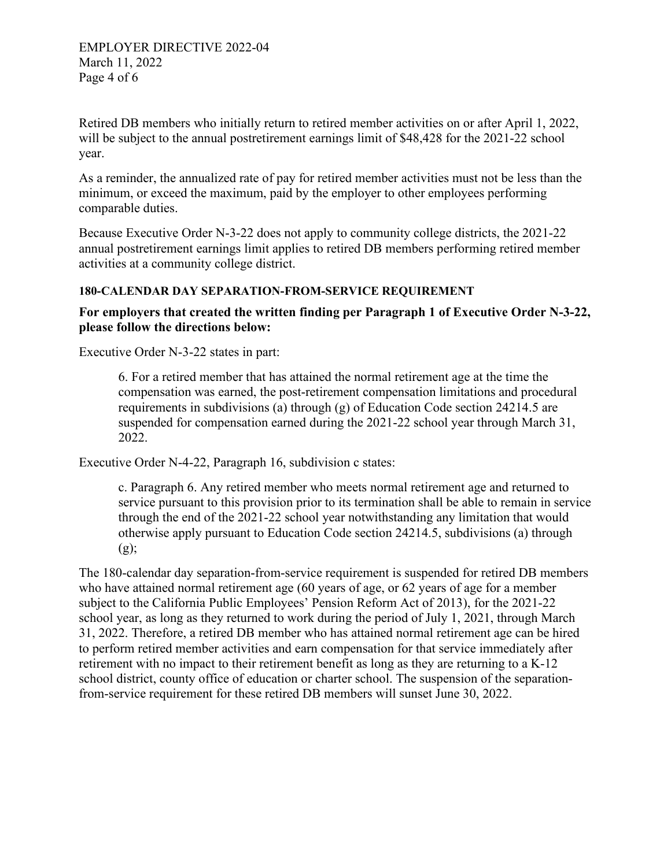Retired DB members who initially return to retired member activities on or after April 1, 2022, will be subject to the annual postretirement earnings limit of \$48,428 for the 2021-22 school year.

As a reminder, the annualized rate of pay for retired member activities must not be less than the minimum, or exceed the maximum, paid by the employer to other employees performing comparable duties.

Because [Executive Order N-3-22](https://www.gov.ca.gov/wp-content/uploads/2022/01/1.11.21-N-3-22-School-Staffing-EO-signed.pdf) does not apply to community college districts, the 2021-22 annual postretirement earnings limit applies to retired DB members performing retired member activities at a community college district.

## **180-CALENDAR DAY SEPARATION-FROM-SERVICE REQUIREMENT**

# **For employers that created the written finding per Paragraph 1 of Executive Order N-3-22, please follow the directions below:**

[Executive Order N-3-22](https://www.gov.ca.gov/wp-content/uploads/2022/01/1.11.21-N-3-22-School-Staffing-EO-signed.pdf) states in part:

6. For a retired member that has attained the normal retirement age at the time the compensation was earned, the post-retirement compensation limitations and procedural requirements in subdivisions (a) through (g) of Education Code section 24214.5 are suspended for compensation earned during the 2021-22 school year through March 31, 2022.

Executive Order N-4-22, Paragraph 16, subdivision c states:

c. Paragraph 6. Any retired member who meets normal retirement age and returned to service pursuant to this provision prior to its termination shall be able to remain in service through the end of the 2021-22 school year notwithstanding any limitation that would otherwise apply pursuant to Education Code section 24214.5, subdivisions (a) through (g);

The 180-calendar day separation-from-service requirement is suspended for retired DB members who have attained normal retirement age (60 years of age, or 62 years of age for a member subject to the California Public Employees' Pension Reform Act of 2013), for the 2021-22 school year, as long as they returned to work during the period of July 1, 2021, through March 31, 2022. Therefore, a retired DB member who has attained normal retirement age can be hired to perform retired member activities and earn compensation for that service immediately after retirement with no impact to their retirement benefit as long as they are returning to a K-12 school district, county office of education or charter school. The suspension of the separationfrom-service requirement for these retired DB members will sunset June 30, 2022.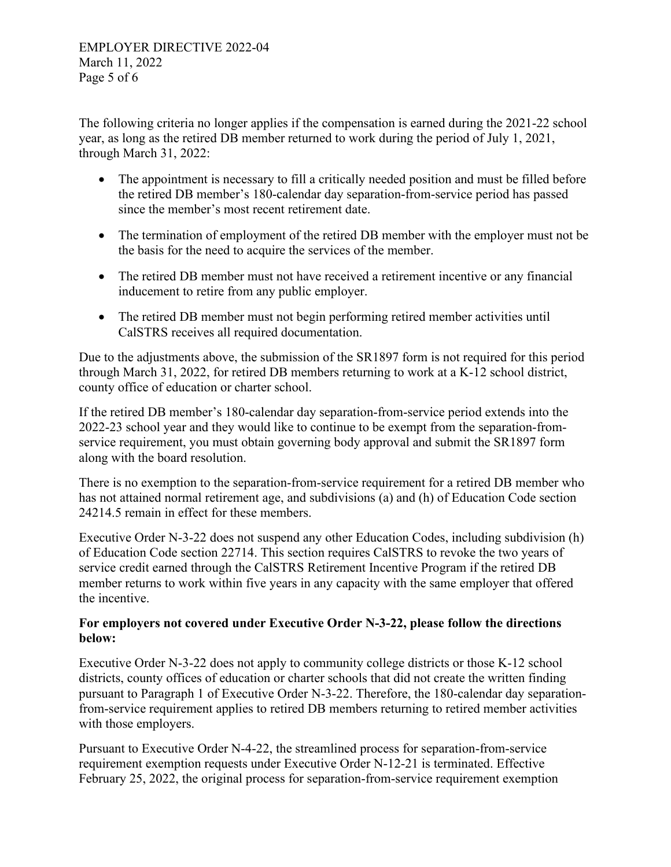The following criteria no longer applies if the compensation is earned during the 2021-22 school year, as long as the retired DB member returned to work during the period of July 1, 2021, through March 31, 2022:

- The appointment is necessary to fill a critically needed position and must be filled before the retired DB member's 180-calendar day separation-from-service period has passed since the member's most recent retirement date.
- The termination of employment of the retired DB member with the employer must not be the basis for the need to acquire the services of the member.
- The retired DB member must not have received a retirement incentive or any financial inducement to retire from any public employer.
- The retired DB member must not begin performing retired member activities until CalSTRS receives all required documentation.

Due to the adjustments above, the submission of the SR1897 form is not required for this period through March 31, 2022, for retired DB members returning to work at a K-12 school district, county office of education or charter school.

If the retired DB member's 180-calendar day separation-from-service period extends into the 2022-23 school year and they would like to continue to be exempt from the separation-fromservice requirement, you must obtain governing body approval and submit the SR1897 form along with the board resolution.

There is no exemption to the separation-from-service requirement for a retired DB member who has not attained normal retirement age, and subdivisions (a) and (h) of Education Code section 24214.5 remain in effect for these members.

Executive Order N-3-22 does not suspend any other Education Codes, including subdivision (h) of Education Code section 22714. This section requires CalSTRS to revoke the two years of service credit earned through the CalSTRS Retirement Incentive Program if the retired DB member returns to work within five years in any capacity with the same employer that offered the incentive.

# **For employers not covered under Executive Order N-3-22, please follow the directions below:**

[Executive Order N-3-22](https://www.gov.ca.gov/wp-content/uploads/2022/01/1.11.21-N-3-22-School-Staffing-EO-signed.pdf) does not apply to community college districts or those K-12 school districts, county offices of education or charter schools that did not create the written finding pursuant to Paragraph 1 of Executive Order N-3-22. Therefore, the 180-calendar day separationfrom-service requirement applies to retired DB members returning to retired member activities with those employers.

Pursuant to Executive Order N-4-22, the streamlined process for separation-from-service requirement exemption requests under Executive Order N-12-21 is terminated. Effective February 25, 2022, the original process for separation-from-service requirement exemption